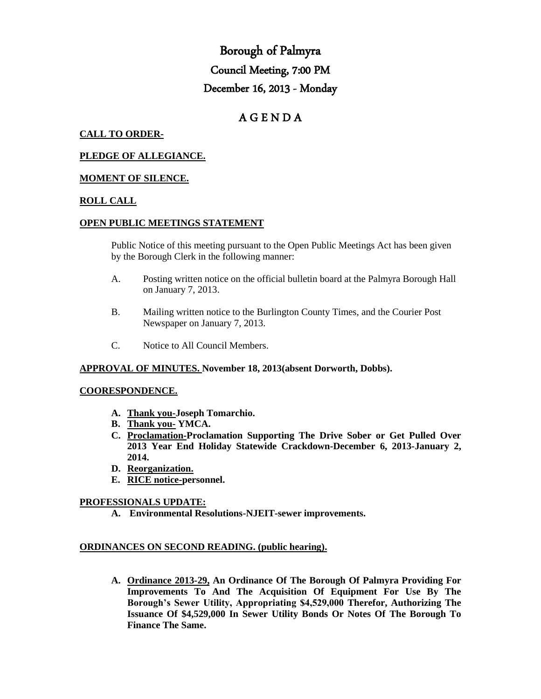# Borough of Palmyra Council Meeting, 7:00 PM December 16, 2013 - Monday

# A G E N D A

## **CALL TO ORDER-**

#### **PLEDGE OF ALLEGIANCE.**

#### **MOMENT OF SILENCE.**

#### **ROLL CALL**

#### **OPEN PUBLIC MEETINGS STATEMENT**

Public Notice of this meeting pursuant to the Open Public Meetings Act has been given by the Borough Clerk in the following manner:

- A. Posting written notice on the official bulletin board at the Palmyra Borough Hall on January 7, 2013.
- B. Mailing written notice to the Burlington County Times, and the Courier Post Newspaper on January 7, 2013.
- C. Notice to All Council Members.

#### **APPROVAL OF MINUTES. November 18, 2013(absent Dorworth, Dobbs).**

#### **COORESPONDENCE.**

- **A. Thank you-Joseph Tomarchio.**
- **B. Thank you- YMCA.**
- **C. Proclamation-Proclamation Supporting The Drive Sober or Get Pulled Over 2013 Year End Holiday Statewide Crackdown-December 6, 2013-January 2, 2014.**
- **D. Reorganization.**
- **E. RICE notice-personnel.**

#### **PROFESSIONALS UPDATE:**

**A. Environmental Resolutions-NJEIT-sewer improvements.**

#### **ORDINANCES ON SECOND READING. (public hearing).**

**A. Ordinance 2013-29, An Ordinance Of The Borough Of Palmyra Providing For Improvements To And The Acquisition Of Equipment For Use By The Borough's Sewer Utility, Appropriating \$4,529,000 Therefor, Authorizing The Issuance Of \$4,529,000 In Sewer Utility Bonds Or Notes Of The Borough To Finance The Same.**